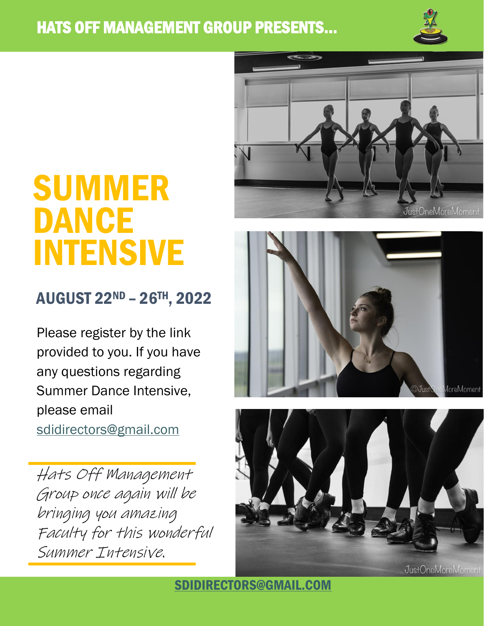# HATS OFF MANAGEMENT GROUP PRESENTS…



# SUMMER DANCE INTENSIVE

# AUGUST 22ND – 26TH , 2022

Please register by the link provided to you. If you have any questions regarding Summer Dance Intensive, please email [sdidirectors@gmail.com](mailto:sdidirectors@gmail.com)

Hats Off Management Group once again will be bringing you amazing Faculty for this wonderful Summer Intensive.







[SDIDIRECTORS@GMAIL.COM](mailto:sdidirectors@gmail.com)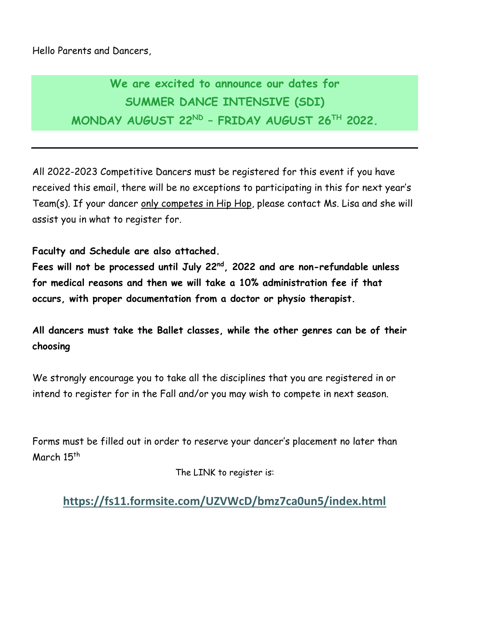Hello Parents and Dancers,

## **We are excited to announce our dates for SUMMER DANCE INTENSIVE (SDI) MONDAY AUGUST 22ND – FRIDAY AUGUST 26 TH 2022.**

All 2022-2023 Competitive Dancers must be registered for this event if you have received this email, there will be no exceptions to participating in this for next year's Team(s). If your dancer only competes in Hip Hop, please contact Ms. Lisa and she will assist you in what to register for.

**Faculty and Schedule are also attached.** 

**Fees will not be processed until July 22nd, 2022 and are non-refundable unless for medical reasons and then we will take a 10% administration fee if that occurs, with proper documentation from a doctor or physio therapist.**

**All dancers must take the Ballet classes, while the other genres can be of their choosing**

We strongly encourage you to take all the disciplines that you are registered in or intend to register for in the Fall and/or you may wish to compete in next season.

Forms must be filled out in order to reserve your dancer's placement no later than March 15<sup>th</sup>

The LINK to register is:

**<https://fs11.formsite.com/UZVWcD/bmz7ca0un5/index.html>**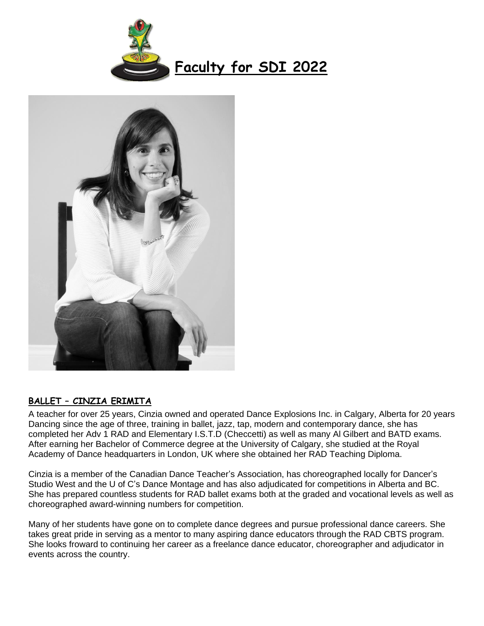



#### **BALLET – CINZIA ERIMITA**

A teacher for over 25 years, Cinzia owned and operated Dance Explosions Inc. in Calgary, Alberta for 20 years Dancing since the age of three, training in ballet, jazz, tap, modern and contemporary dance, she has completed her Adv 1 RAD and Elementary I.S.T.D (Checcetti) as well as many Al Gilbert and BATD exams. After earning her Bachelor of Commerce degree at the University of Calgary, she studied at the Royal Academy of Dance headquarters in London, UK where she obtained her RAD Teaching Diploma.

Cinzia is a member of the Canadian Dance Teacher's Association, has choreographed locally for Dancer's Studio West and the U of C's Dance Montage and has also adjudicated for competitions in Alberta and BC. She has prepared countless students for RAD ballet exams both at the graded and vocational levels as well as choreographed award-winning numbers for competition.

Many of her students have gone on to complete dance degrees and pursue professional dance careers. She takes great pride in serving as a mentor to many aspiring dance educators through the RAD CBTS program. She looks froward to continuing her career as a freelance dance educator, choreographer and adjudicator in events across the country.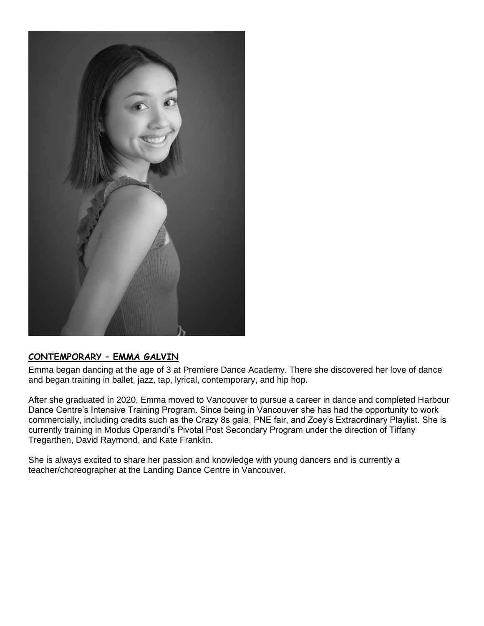

#### **CONTEMPORARY – EMMA GALVIN**

Emma began dancing at the age of 3 at Premiere Dance Academy. There she discovered her love of dance and began training in ballet, jazz, tap, lyrical, contemporary, and hip hop.

After she graduated in 2020, Emma moved to Vancouver to pursue a career in dance and completed Harbour Dance Centre's Intensive Training Program. Since being in Vancouver she has had the opportunity to work commercially, including credits such as the Crazy 8s gala, PNE fair, and Zoey's Extraordinary Playlist. She is currently training in Modus Operandi's Pivotal Post Secondary Program under the direction of Tiffany Tregarthen, David Raymond, and Kate Franklin.

She is always excited to share her passion and knowledge with young dancers and is currently a teacher/choreographer at the Landing Dance Centre in Vancouver.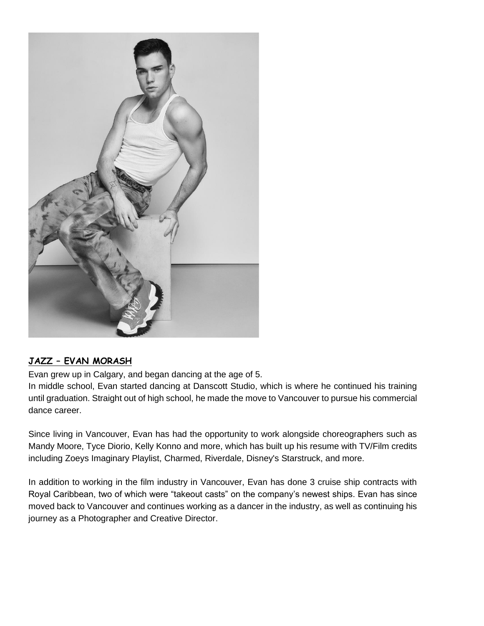

#### **JAZZ – EVAN MORASH**

Evan grew up in Calgary, and began dancing at the age of 5.

In middle school, Evan started dancing at Danscott Studio, which is where he continued his training until graduation. Straight out of high school, he made the move to Vancouver to pursue his commercial dance career.

Since living in Vancouver, Evan has had the opportunity to work alongside choreographers such as Mandy Moore, Tyce Diorio, Kelly Konno and more, which has built up his resume with TV/Film credits including Zoeys Imaginary Playlist, Charmed, Riverdale, Disney's Starstruck, and more.

In addition to working in the film industry in Vancouver, Evan has done 3 cruise ship contracts with Royal Caribbean, two of which were "takeout casts" on the company's newest ships. Evan has since moved back to Vancouver and continues working as a dancer in the industry, as well as continuing his journey as a Photographer and Creative Director.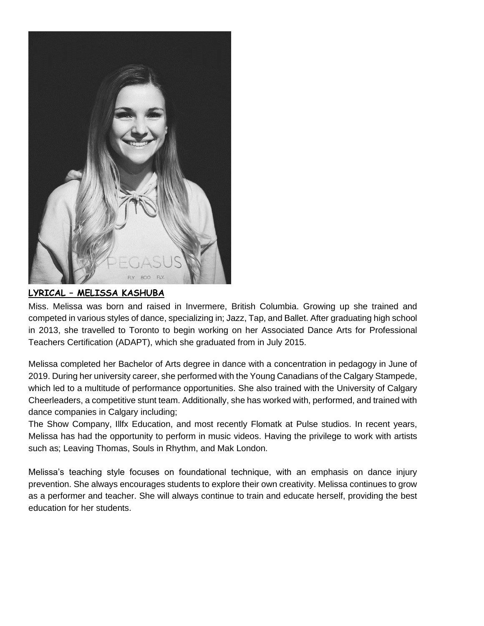

#### **LYRICAL – MELISSA KASHUBA**

Miss. Melissa was born and raised in Invermere, British Columbia. Growing up she trained and competed in various styles of dance, specializing in; Jazz, Tap, and Ballet. After graduating high school in 2013, she travelled to Toronto to begin working on her Associated Dance Arts for Professional Teachers Certification (ADAPT), which she graduated from in July 2015.

Melissa completed her Bachelor of Arts degree in dance with a concentration in pedagogy in June of 2019. During her university career, she performed with the Young Canadians of the Calgary Stampede, which led to a multitude of performance opportunities. She also trained with the University of Calgary Cheerleaders, a competitive stunt team. Additionally, she has worked with, performed, and trained with dance companies in Calgary including;

The Show Company, Illfx Education, and most recently Flomatk at Pulse studios. In recent years, Melissa has had the opportunity to perform in music videos. Having the privilege to work with artists such as; Leaving Thomas, Souls in Rhythm, and Mak London.

Melissa's teaching style focuses on foundational technique, with an emphasis on dance injury prevention. She always encourages students to explore their own creativity. Melissa continues to grow as a performer and teacher. She will always continue to train and educate herself, providing the best education for her students.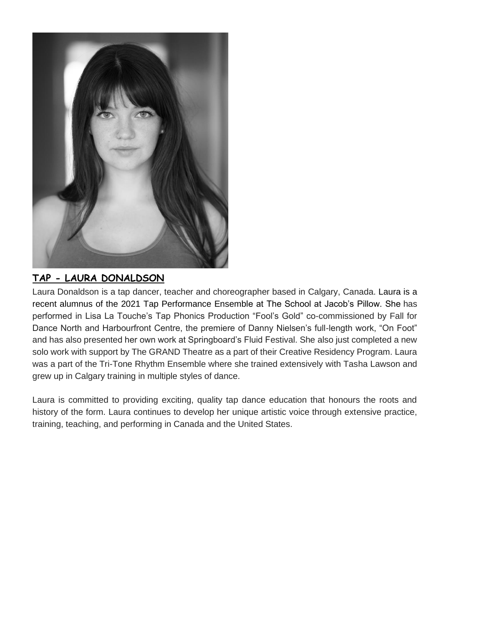

#### **TAP - LAURA DONALDSON**

Laura Donaldson is a tap dancer, teacher and choreographer based in Calgary, Canada. Laura is a recent alumnus of the 2021 Tap Performance Ensemble at The School at Jacob's Pillow. She has performed in Lisa La Touche's Tap Phonics Production "Fool's Gold" co-commissioned by Fall for Dance North and Harbourfront Centre, the premiere of Danny Nielsen's full-length work, "On Foot" and has also presented her own work at Springboard's Fluid Festival. She also just completed a new solo work with support by The GRAND Theatre as a part of their Creative Residency Program. Laura was a part of the Tri-Tone Rhythm Ensemble where she trained extensively with Tasha Lawson and grew up in Calgary training in multiple styles of dance.

Laura is committed to providing exciting, quality tap dance education that honours the roots and history of the form. Laura continues to develop her unique artistic voice through extensive practice, training, teaching, and performing in Canada and the United States.